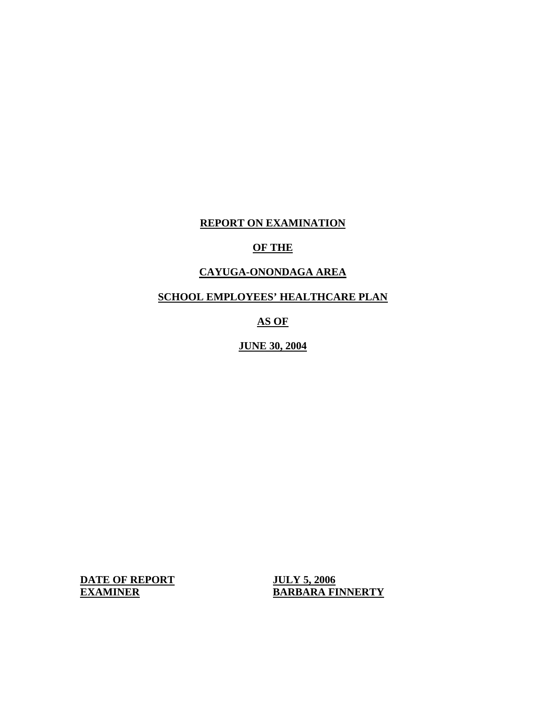# **REPORT ON EXAMINATION**

# **OF THE**

# **CAYUGA-ONONDAGA AREA**

**SCHOOL EMPLOYEES' HEALTHCARE PLAN** 

**AS OF** 

**JUNE 30, 2004** 

**DATE OF REPORT JULY 5, 2006** 

**EXAMINER BARBARA FINNERTY**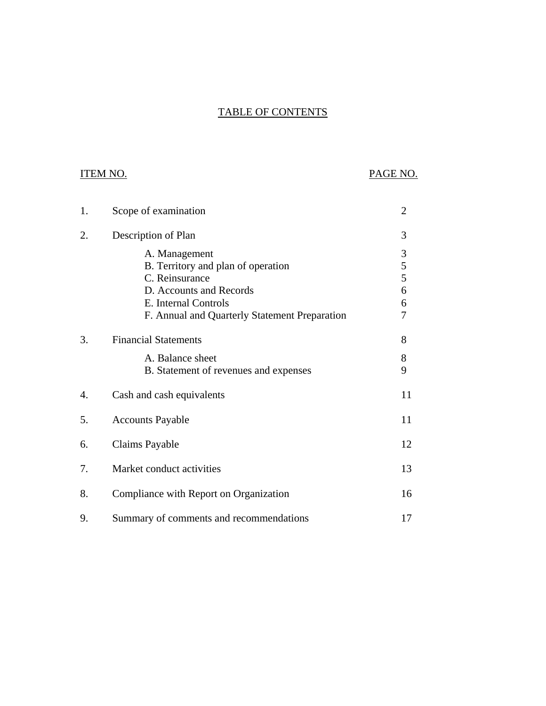# TABLE OF CONTENTS

# ITEM NO. PAGE NO.

| 1. | Scope of examination                          | $\overline{2}$ |
|----|-----------------------------------------------|----------------|
| 2. | Description of Plan                           | 3              |
|    | A. Management                                 | $\mathfrak{Z}$ |
|    | B. Territory and plan of operation            | 5              |
|    | C. Reinsurance                                | 5              |
|    | D. Accounts and Records                       | 6              |
|    | E. Internal Controls                          | 6              |
|    | F. Annual and Quarterly Statement Preparation | 7              |
| 3. | <b>Financial Statements</b>                   | 8              |
|    | A. Balance sheet                              | 8              |
|    | B. Statement of revenues and expenses         | 9              |
| 4. | Cash and cash equivalents                     | 11             |
| 5. | <b>Accounts Payable</b>                       | 11             |
| 6. | <b>Claims Payable</b>                         | 12             |
| 7. | Market conduct activities                     | 13             |
| 8. | Compliance with Report on Organization        | 16             |
| 9. | Summary of comments and recommendations       | 17             |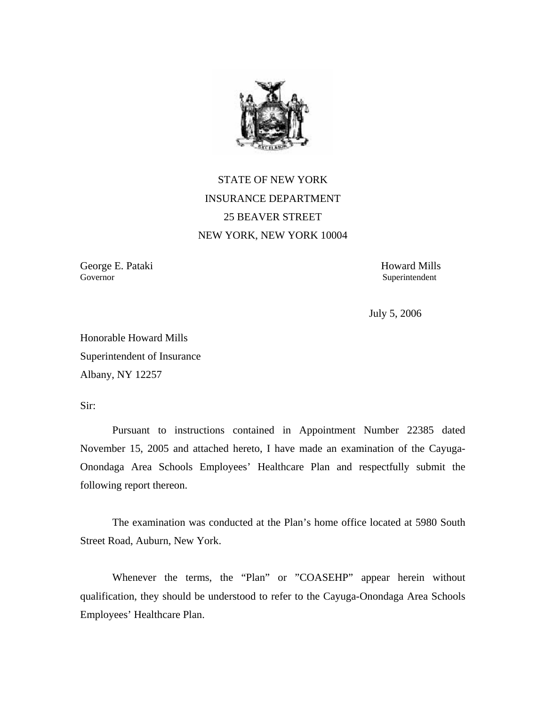

STATE OF NEW YORK INSURANCE DEPARTMENT 25 BEAVER STREET NEW YORK, NEW YORK 10004

Governor George E. Pataki Howard Mills

Superintendent

July 5, 2006

Honorable Howard Mills Superintendent of Insurance Albany, NY 12257

Sir:

Pursuant to instructions contained in Appointment Number 22385 dated November 15, 2005 and attached hereto, I have made an examination of the Cayuga-Onondaga Area Schools Employees' Healthcare Plan and respectfully submit the following report thereon.

The examination was conducted at the Plan's home office located at 5980 South Street Road, Auburn, New York.

Whenever the terms, the "Plan" or "COASEHP" appear herein without qualification, they should be understood to refer to the Cayuga-Onondaga Area Schools Employees' Healthcare Plan.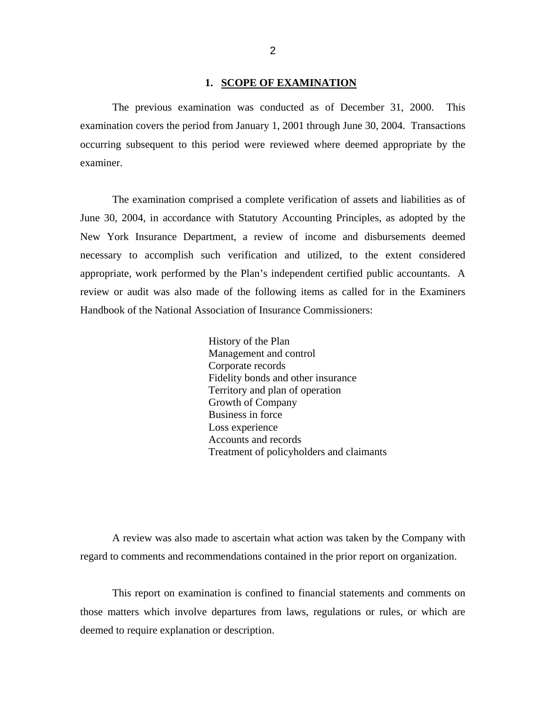#### **1. SCOPE OF EXAMINATION**

<span id="page-3-0"></span>The previous examination was conducted as of December 31, 2000. This examination covers the period from January 1, 2001 through June 30, 2004. Transactions occurring subsequent to this period were reviewed where deemed appropriate by the examiner.

The examination comprised a complete verification of assets and liabilities as of June 30, 2004, in accordance with Statutory Accounting Principles, as adopted by the New York Insurance Department, a review of income and disbursements deemed necessary to accomplish such verification and utilized, to the extent considered appropriate, work performed by the Plan's independent certified public accountants. A review or audit was also made of the following items as called for in the Examiners Handbook of the National Association of Insurance Commissioners:

> History of the Plan Management and control Corporate records Fidelity bonds and other insurance Territory and plan of operation Growth of Company Business in force Loss experience Accounts and records Treatment of policyholders and claimants

A review was also made to ascertain what action was taken by the Company with regard to comments and recommendations contained in the prior report on organization.

This report on examination is confined to financial statements and comments on those matters which involve departures from laws, regulations or rules, or which are deemed to require explanation or description.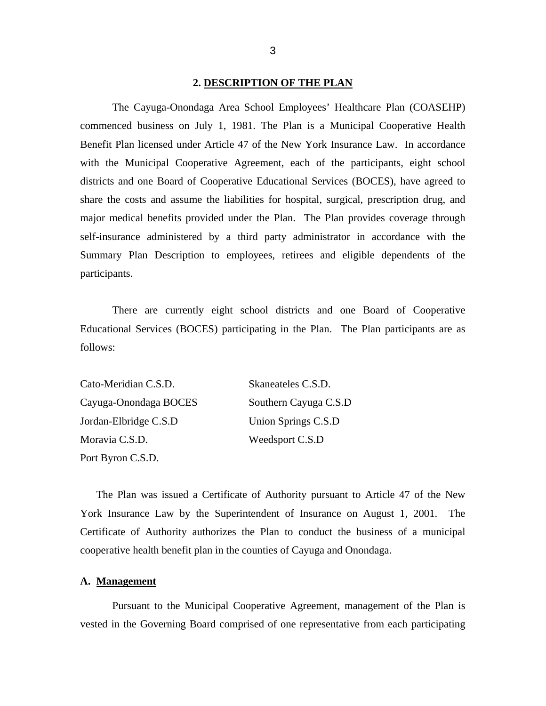#### **2. DESCRIPTION OF THE PLAN**

<span id="page-4-0"></span>The Cayuga-Onondaga Area School Employees' Healthcare Plan (COASEHP) commenced business on July 1, 1981. The Plan is a Municipal Cooperative Health Benefit Plan licensed under Article 47 of the New York Insurance Law. In accordance with the Municipal Cooperative Agreement, each of the participants, eight school districts and one Board of Cooperative Educational Services (BOCES), have agreed to share the costs and assume the liabilities for hospital, surgical, prescription drug, and major medical benefits provided under the Plan. The Plan provides coverage through self-insurance administered by a third party administrator in accordance with the Summary Plan Description to employees, retirees and eligible dependents of the participants.

There are currently eight school districts and one Board of Cooperative Educational Services (BOCES) participating in the Plan. The Plan participants are as follows:

| Cato-Meridian C.S.D.  | Skaneateles C.S.D.    |
|-----------------------|-----------------------|
| Cayuga-Onondaga BOCES | Southern Cayuga C.S.D |
| Jordan-Elbridge C.S.D | Union Springs C.S.D   |
| Moravia C.S.D.        | Weedsport C.S.D       |
| Port Byron C.S.D.     |                       |

The Plan was issued a Certificate of Authority pursuant to Article 47 of the New York Insurance Law by the Superintendent of Insurance on August 1, 2001. The Certificate of Authority authorizes the Plan to conduct the business of a municipal cooperative health benefit plan in the counties of Cayuga and Onondaga.

#### **A. Management**

Pursuant to the Municipal Cooperative Agreement, management of the Plan is vested in the Governing Board comprised of one representative from each participating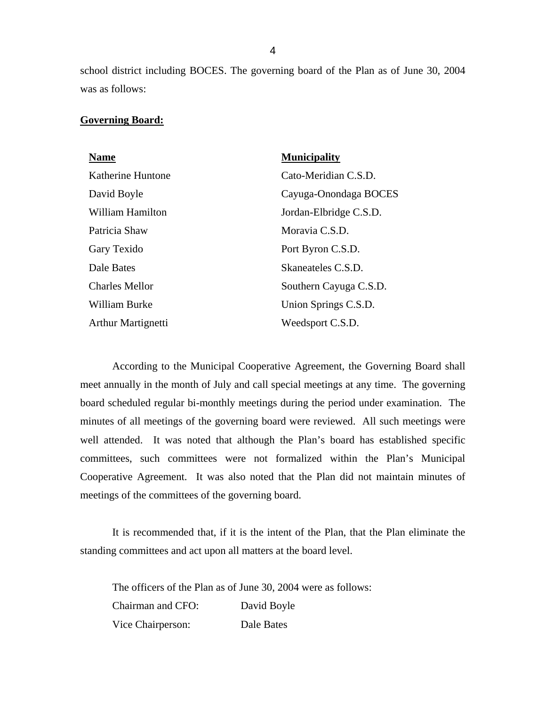school district including BOCES. The governing board of the Plan as of June 30, 2004 was as follows:

#### **Governing Board:**

| <b>Name</b>               | <b>Municipality</b>    |
|---------------------------|------------------------|
| Katherine Huntone         | Cato-Meridian C.S.D.   |
| David Boyle               | Cayuga-Onondaga BOCES  |
| William Hamilton          | Jordan-Elbridge C.S.D. |
| Patricia Shaw             | Moravia C.S.D.         |
| Gary Texido               | Port Byron C.S.D.      |
| Dale Bates                | Skaneateles C.S.D.     |
| <b>Charles Mellor</b>     | Southern Cayuga C.S.D. |
| <b>William Burke</b>      | Union Springs C.S.D.   |
| <b>Arthur Martignetti</b> | Weedsport C.S.D.       |

According to the Municipal Cooperative Agreement, the Governing Board shall meet annually in the month of July and call special meetings at any time. The governing board scheduled regular bi-monthly meetings during the period under examination. The minutes of all meetings of the governing board were reviewed. All such meetings were well attended. It was noted that although the Plan's board has established specific committees, such committees were not formalized within the Plan's Municipal Cooperative Agreement. It was also noted that the Plan did not maintain minutes of meetings of the committees of the governing board.

It is recommended that, if it is the intent of the Plan, that the Plan eliminate the standing committees and act upon all matters at the board level.

 Chairman and CFO: David Boyle The officers of the Plan as of June 30, 2004 were as follows: Vice Chairperson: Dale Bates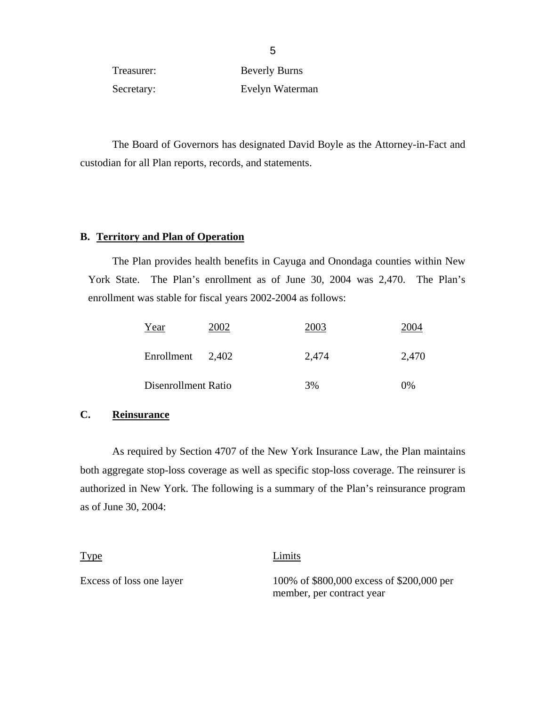Treasurer: Beverly Burns Secretary: Evelyn Waterman

The Board of Governors has designated David Boyle as the Attorney-in-Fact and custodian for all Plan reports, records, and statements.

# **B. Territory and Plan of Operation**

The Plan provides health benefits in Cayuga and Onondaga counties within New York State. The Plan's enrollment as of June 30, 2004 was 2,470. The Plan's enrollment was stable for fiscal years 2002-2004 as follows:

| Year                | 2002 | 2003  | 2004  |
|---------------------|------|-------|-------|
| Enrollment 2,402    |      | 2,474 | 2,470 |
| Disenrollment Ratio |      | 3%    | 0%    |

### **C. Reinsurance**

As required by Section 4707 of the New York Insurance Law, the Plan maintains both aggregate stop-loss coverage as well as specific stop-loss coverage. The reinsurer is authorized in New York. The following is a summary of the Plan's reinsurance program as of June 30, 2004:

Type **Limits** Excess of loss one layer 100% of \$800,000 excess of \$200,000 per member, per contract year

 $\sim$  5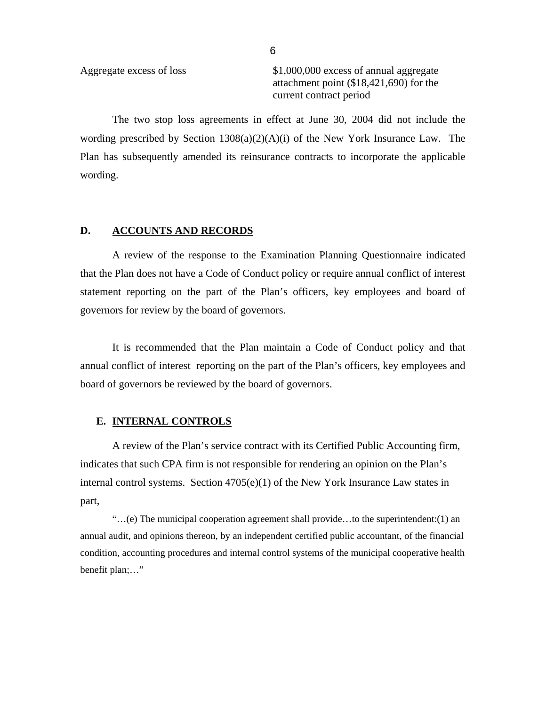<span id="page-7-0"></span>Aggregate excess of loss \$1,000,000 excess of annual aggregate attachment point (\$18,421,690) for the current contract period

The two stop loss agreements in effect at June 30, 2004 did not include the wording prescribed by Section  $1308(a)(2)(A)(i)$  of the New York Insurance Law. The Plan has subsequently amended its reinsurance contracts to incorporate the applicable wording.

### **D. ACCOUNTS AND RECORDS**

A review of the response to the Examination Planning Questionnaire indicated that the Plan does not have a Code of Conduct policy or require annual conflict of interest statement reporting on the part of the Plan's officers, key employees and board of governors for review by the board of governors.

It is recommended that the Plan maintain a Code of Conduct policy and that annual conflict of interest reporting on the part of the Plan's officers, key employees and board of governors be reviewed by the board of governors.

#### **E. INTERNAL CONTROLS**

A review of the Plan's service contract with its Certified Public Accounting firm, indicates that such CPA firm is not responsible for rendering an opinion on the Plan's internal control systems. Section  $4705(e)(1)$  of the New York Insurance Law states in part,

"...(e) The municipal cooperation agreement shall provide...to the superintendent: $(1)$  an annual audit, and opinions thereon, by an independent certified public accountant, of the financial condition, accounting procedures and internal control systems of the municipal cooperative health benefit plan;..."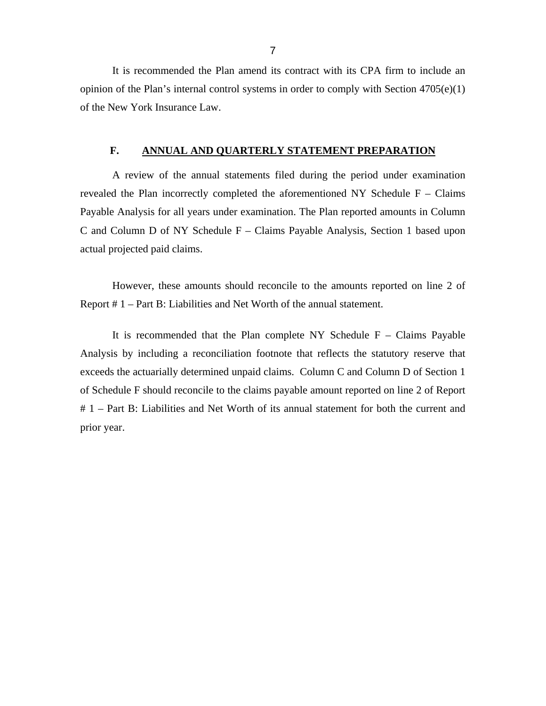<span id="page-8-0"></span>It is recommended the Plan amend its contract with its CPA firm to include an opinion of the Plan's internal control systems in order to comply with Section  $4705(e)(1)$ of the New York Insurance Law.

### **F. ANNUAL AND QUARTERLY STATEMENT PREPARATION**

A review of the annual statements filed during the period under examination revealed the Plan incorrectly completed the aforementioned NY Schedule  $F - Clains$ Payable Analysis for all years under examination. The Plan reported amounts in Column C and Column D of NY Schedule F – Claims Payable Analysis, Section 1 based upon actual projected paid claims.

However, these amounts should reconcile to the amounts reported on line 2 of Report # 1 – Part B: Liabilities and Net Worth of the annual statement.

It is recommended that the Plan complete NY Schedule  $F - \text{Claims}$  Payable Analysis by including a reconciliation footnote that reflects the statutory reserve that exceeds the actuarially determined unpaid claims. Column C and Column D of Section 1 of Schedule F should reconcile to the claims payable amount reported on line 2 of Report # 1 – Part B: Liabilities and Net Worth of its annual statement for both the current and prior year.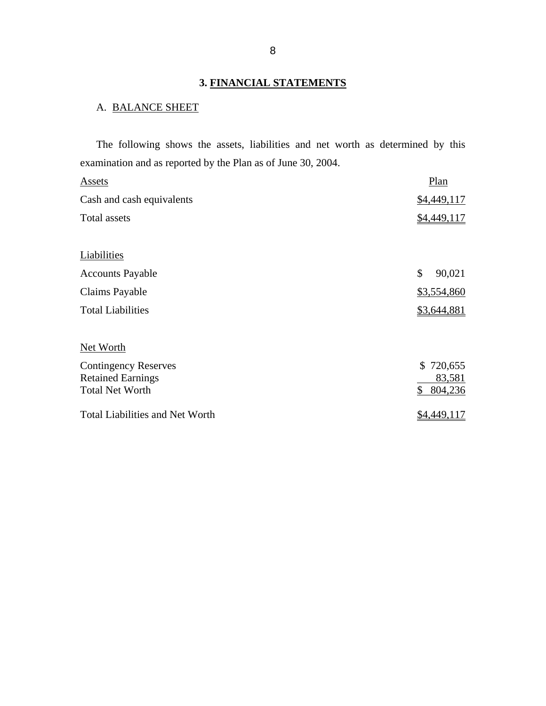# **3. FINANCIAL STATEMENTS**

# A. BALANCE SHEET

The following shows the assets, liabilities and net worth as determined by this examination and as reported by the Plan as of June 30, 2004.

| Assets                                 | Plan          |
|----------------------------------------|---------------|
| Cash and cash equivalents              | \$4,449,117   |
| Total assets                           | \$4,449,117   |
|                                        |               |
| Liabilities                            |               |
| <b>Accounts Payable</b>                | \$<br>90,021  |
| Claims Payable                         | \$3,554,860   |
| <b>Total Liabilities</b>               | \$3,644,881   |
|                                        |               |
| Net Worth                              |               |
| <b>Contingency Reserves</b>            | \$720,655     |
| <b>Retained Earnings</b>               | 83,581        |
| <b>Total Net Worth</b>                 | \$<br>804,236 |
| <b>Total Liabilities and Net Worth</b> | \$4,449,117   |
|                                        |               |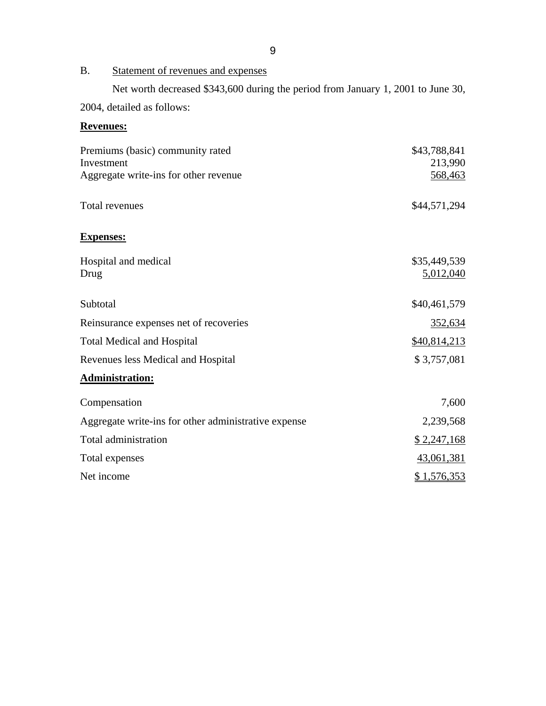# <span id="page-10-0"></span>B. Statement of revenues and expenses

Net worth decreased \$343,600 during the period from January 1, 2001 to June 30, 2004, detailed as follows:

**Revenues:** 

# Premiums (basic) community rated  $$43,788,841$ Investment 213,990 Aggregate write-ins for other revenue 568,463 Total revenues  $$44,571,294$ **Expenses:**  Hospital and medical \$35,449,539 Drug 5,012,040 Subtotal \$40,461,579 Reinsurance expenses net of recoveries 352,634 Total Medical and Hospital  $\frac{$40,814,213}{2}$ Revenues less Medical and Hospital  $$3,757,081$ **Administration:**  Compensation 7,600 Aggregate write-ins for other administrative expense 2,239,568 Total administration  $$ 2,247,168$ Total expenses 43,061,381 Net income \$1,576,353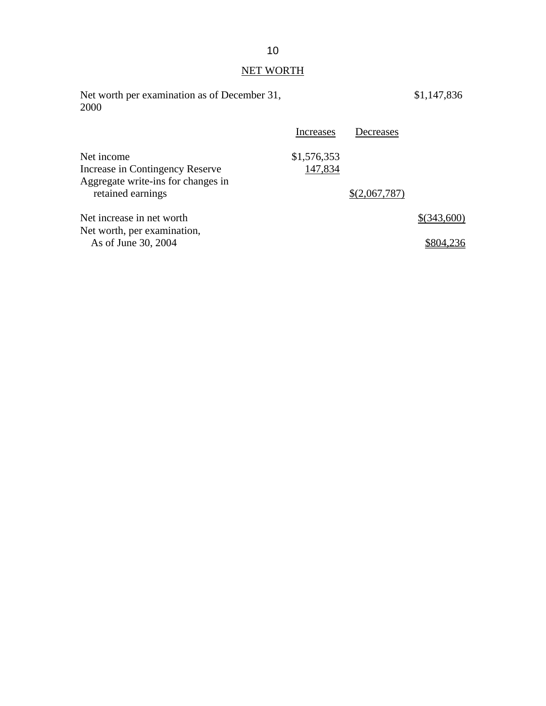# NET WORTH

| Net worth per examination as of December 31,<br>2000                                                     |                        |               | \$1,147,836 |
|----------------------------------------------------------------------------------------------------------|------------------------|---------------|-------------|
|                                                                                                          | Increases              | Decreases     |             |
| Net income<br>Increase in Contingency Reserve<br>Aggregate write-ins for changes in<br>retained earnings | \$1,576,353<br>147,834 | \$(2,067,787) |             |
| Net increase in net worth                                                                                |                        |               | \$(343,600) |
| Net worth, per examination,<br>As of June 30, 2004                                                       |                        |               | \$804.2     |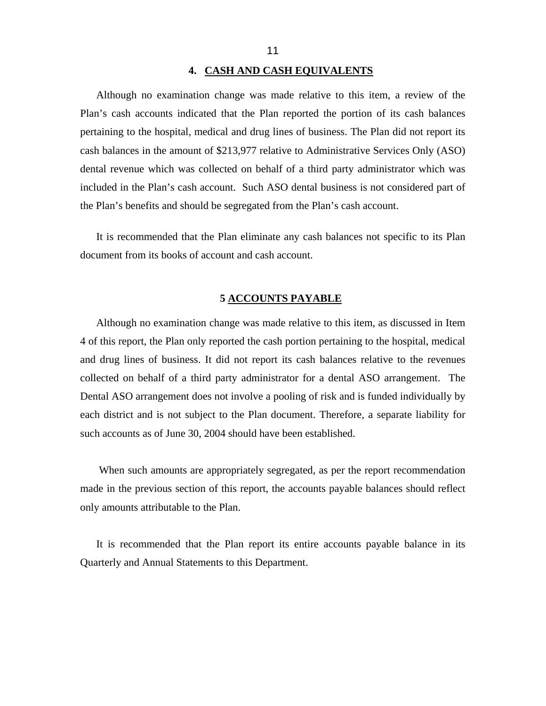#### **4. CASH AND CASH EQUIVALENTS**

<span id="page-12-0"></span>Although no examination change was made relative to this item, a review of the Plan's cash accounts indicated that the Plan reported the portion of its cash balances pertaining to the hospital, medical and drug lines of business. The Plan did not report its cash balances in the amount of \$213,977 relative to Administrative Services Only (ASO) dental revenue which was collected on behalf of a third party administrator which was included in the Plan's cash account. Such ASO dental business is not considered part of the Plan's benefits and should be segregated from the Plan's cash account.

It is recommended that the Plan eliminate any cash balances not specific to its Plan document from its books of account and cash account.

#### **5 ACCOUNTS PAYABLE**

Although no examination change was made relative to this item, as discussed in Item 4 of this report, the Plan only reported the cash portion pertaining to the hospital, medical and drug lines of business. It did not report its cash balances relative to the revenues collected on behalf of a third party administrator for a dental ASO arrangement. The Dental ASO arrangement does not involve a pooling of risk and is funded individually by each district and is not subject to the Plan document. Therefore, a separate liability for such accounts as of June 30, 2004 should have been established.

When such amounts are appropriately segregated, as per the report recommendation made in the previous section of this report, the accounts payable balances should reflect only amounts attributable to the Plan.

It is recommended that the Plan report its entire accounts payable balance in its Quarterly and Annual Statements to this Department.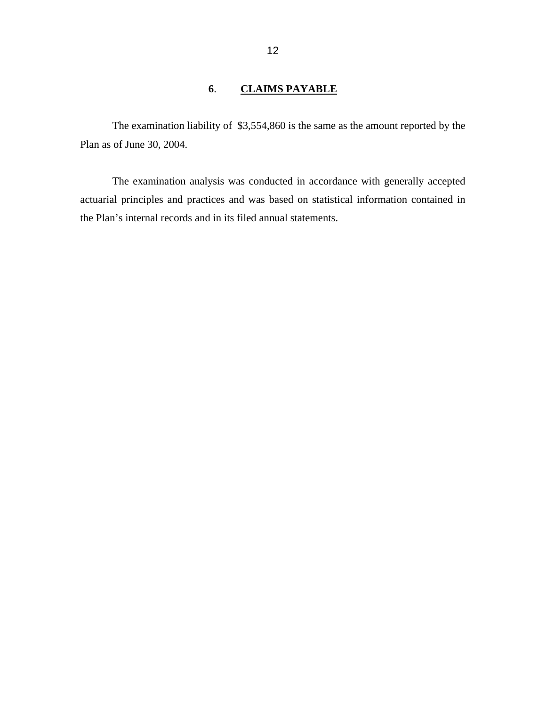# **6**. **CLAIMS PAYABLE**

<span id="page-13-0"></span>The examination liability of \$3,554,860 is the same as the amount reported by the Plan as of June 30, 2004.

The examination analysis was conducted in accordance with generally accepted actuarial principles and practices and was based on statistical information contained in the Plan's internal records and in its filed annual statements.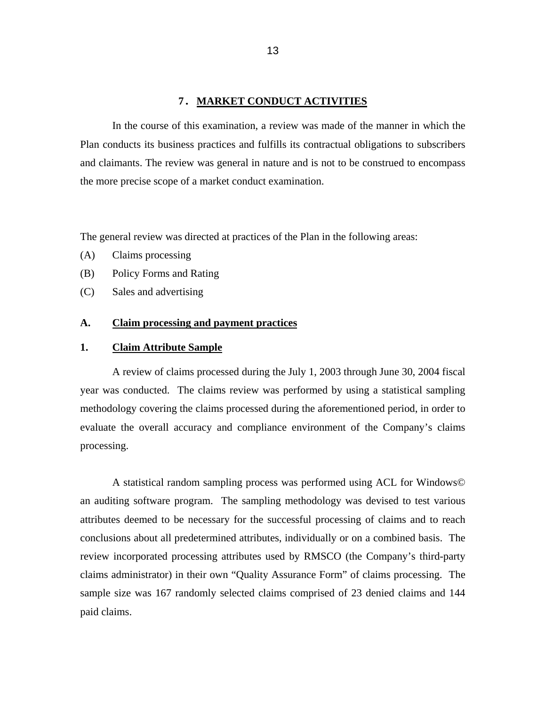#### **7. MARKET CONDUCT ACTIVITIES**

<span id="page-14-0"></span>In the course of this examination, a review was made of the manner in which the Plan conducts its business practices and fulfills its contractual obligations to subscribers and claimants. The review was general in nature and is not to be construed to encompass the more precise scope of a market conduct examination.

The general review was directed at practices of the Plan in the following areas:

- (A) Claims processing
- (B) Policy Forms and Rating
- (C) Sales and advertising

#### **A. Claim processing and payment practices**

#### **1. Claim Attribute Sample**

A review of claims processed during the July 1, 2003 through June 30, 2004 fiscal year was conducted. The claims review was performed by using a statistical sampling methodology covering the claims processed during the aforementioned period, in order to evaluate the overall accuracy and compliance environment of the Company's claims processing.

A statistical random sampling process was performed using ACL for Windows© an auditing software program. The sampling methodology was devised to test various attributes deemed to be necessary for the successful processing of claims and to reach conclusions about all predetermined attributes, individually or on a combined basis. The review incorporated processing attributes used by RMSCO (the Company's third-party claims administrator) in their own "Quality Assurance Form" of claims processing. The sample size was 167 randomly selected claims comprised of 23 denied claims and 144 paid claims.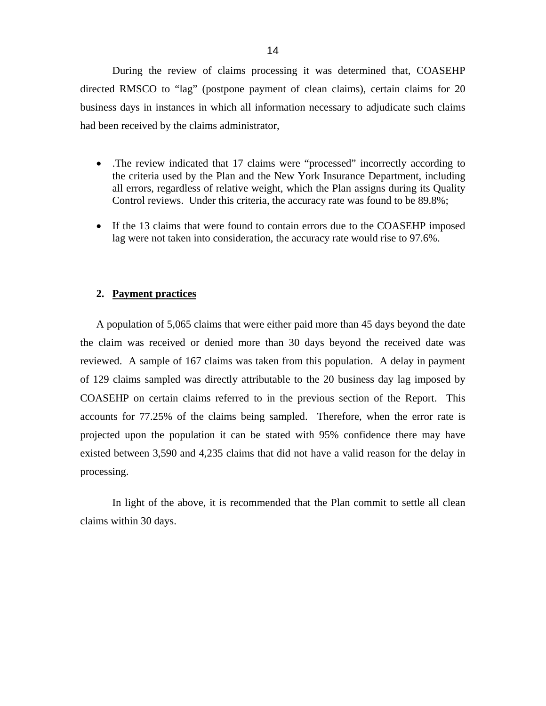During the review of claims processing it was determined that, COASEHP directed RMSCO to "lag" (postpone payment of clean claims), certain claims for 20 business days in instances in which all information necessary to adjudicate such claims had been received by the claims administrator,

- The review indicated that 17 claims were "processed" incorrectly according to the criteria used by the Plan and the New York Insurance Department, including all errors, regardless of relative weight, which the Plan assigns during its Quality Control reviews. Under this criteria, the accuracy rate was found to be 89.8%;
- If the 13 claims that were found to contain errors due to the COASEHP imposed lag were not taken into consideration, the accuracy rate would rise to 97.6%.

#### **2. Payment practices**

A population of 5,065 claims that were either paid more than 45 days beyond the date the claim was received or denied more than 30 days beyond the received date was reviewed. A sample of 167 claims was taken from this population. A delay in payment of 129 claims sampled was directly attributable to the 20 business day lag imposed by COASEHP on certain claims referred to in the previous section of the Report. This accounts for 77.25% of the claims being sampled. Therefore, when the error rate is projected upon the population it can be stated with 95% confidence there may have existed between 3,590 and 4,235 claims that did not have a valid reason for the delay in processing.

In light of the above, it is recommended that the Plan commit to settle all clean claims within 30 days.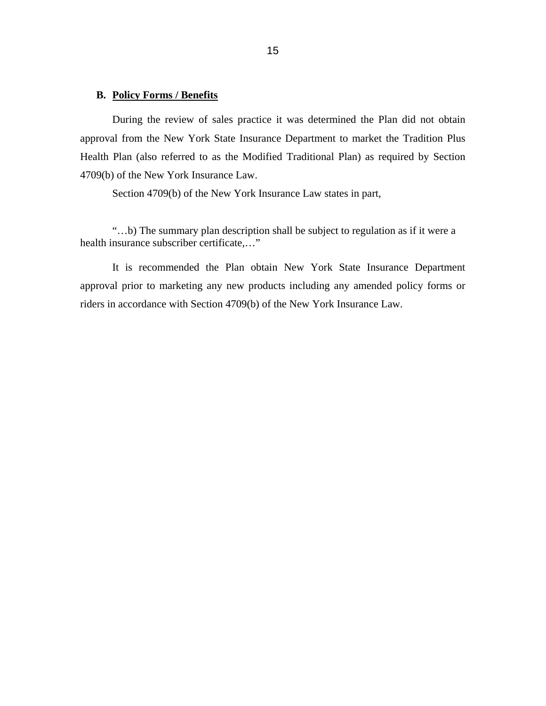# **B. Policy Forms / Benefits**

During the review of sales practice it was determined the Plan did not obtain approval from the New York State Insurance Department to market the Tradition Plus Health Plan (also referred to as the Modified Traditional Plan) as required by Section 4709(b) of the New York Insurance Law.

Section 4709(b) of the New York Insurance Law states in part,

"…b) The summary plan description shall be subject to regulation as if it were a health insurance subscriber certificate,…"

It is recommended the Plan obtain New York State Insurance Department approval prior to marketing any new products including any amended policy forms or riders in accordance with Section 4709(b) of the New York Insurance Law.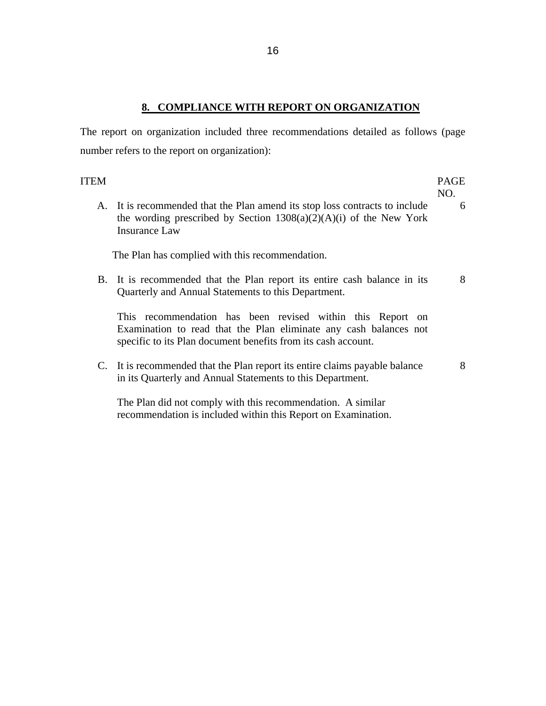# **8. COMPLIANCE WITH REPORT ON ORGANIZATION**

<span id="page-17-0"></span>The report on organization included three recommendations detailed as follows (page number refers to the report on organization):

| ITEM |                                                                                                                                                                                                  | PAGE<br>NO. |
|------|--------------------------------------------------------------------------------------------------------------------------------------------------------------------------------------------------|-------------|
|      | A. It is recommended that the Plan amend its stop loss contracts to include<br>the wording prescribed by Section $1308(a)(2)(A)(i)$ of the New York<br>Insurance Law                             | 6           |
|      | The Plan has complied with this recommendation.                                                                                                                                                  |             |
|      | B. It is recommended that the Plan report its entire cash balance in its<br>Quarterly and Annual Statements to this Department.                                                                  | 8           |
|      | This recommendation has been revised within this Report on<br>Examination to read that the Plan eliminate any cash balances not<br>specific to its Plan document benefits from its cash account. |             |
|      | C. It is recommended that the Plan report its entire claims payable balance<br>in its Quarterly and Annual Statements to this Department.                                                        | 8           |

The Plan did not comply with this recommendation. A similar recommendation is included within this Report on Examination.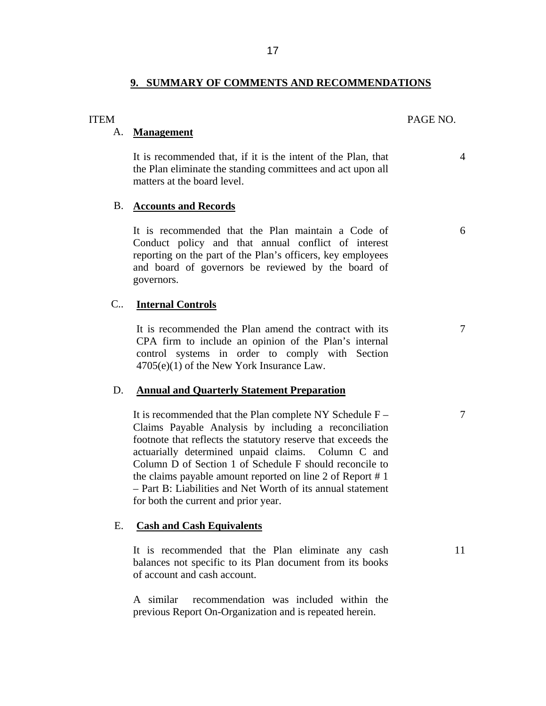## **9. SUMMARY OF COMMENTS AND RECOMMENDATIONS**

# A. **Management**

It is recommended that, if it is the intent of the Plan, that 4 the Plan eliminate the standing committees and act upon all matters at the board level.

#### B. **Accounts and Records**

It is recommended that the Plan maintain a Code of 6 Conduct policy and that annual conflict of interest reporting on the part of the Plan's officers, key employees and board of governors be reviewed by the board of governors.

#### C.. **Internal Controls**

It is recommended the Plan amend the contract with its  $\frac{7}{10}$ CPA firm to include an opinion of the Plan's internal control systems in order to comply with Section 4705(e)(1) of the New York Insurance Law.

#### D. **Annual and Quarterly Statement Preparation**

It is recommended that the Plan complete NY Schedule F – 7 Claims Payable Analysis by including a reconciliation footnote that reflects the statutory reserve that exceeds the actuarially determined unpaid claims. Column C and Column D of Section 1 of Schedule F should reconcile to the claims payable amount reported on line 2 of Report # 1 – Part B: Liabilities and Net Worth of its annual statement for both the current and prior year.

### E. **Cash and Cash Equivalents**

It is recommended that the Plan eliminate any cash 11 balances not specific to its Plan document from its books of account and cash account.

A similar recommendation was included within the previous Report On-Organization and is repeated herein.

#### <span id="page-18-0"></span>ITEM PAGE NO.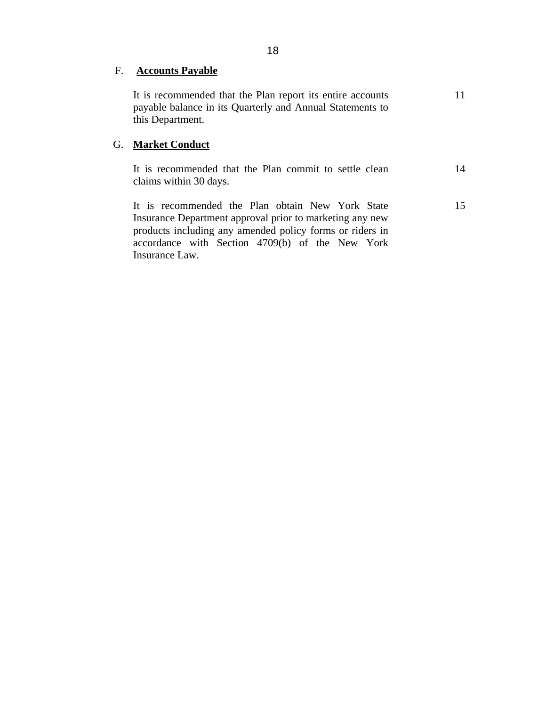# F. **Accounts Payable**

It is recommended that the Plan report its entire accounts payable balance in its Quarterly and Annual Statements to this Department.

11

15

# G. **Market Conduct**

It is recommended that the Plan commit to settle clean claims within 30 days. 14

It is recommended the Plan obtain New York State Insurance Department approval prior to marketing any new products including any amended policy forms or riders in accordance with Section 4709(b) of the New York Insurance Law.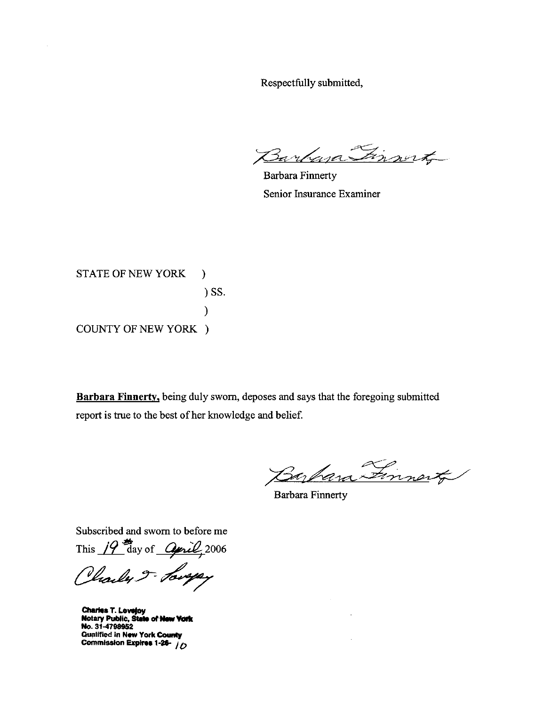Respectfully submitted,

Finnerty Bankan

**Barbara Finnerty** Senior Insurance Examiner

**STATE OF NEW YORK**  $\mathcal{F}$  $)$  SS.  $\lambda$ **COUNTY OF NEW YORK )** 

Barbara Finnerty, being duly sworn, deposes and says that the foregoing submitted report is true to the best of her knowledge and belief.

Finnert

**Barbara Finnerty** 

Subscribed and sworn to before me

This  $19$  day of  $Q$ *pril*, 2006

Charles 5- Lougey

**Charles T. Lovejoy<br>Notary Public, State of New York** No. 31-4798952 **Gualified in New York County** Commission Expires 1-26- 10